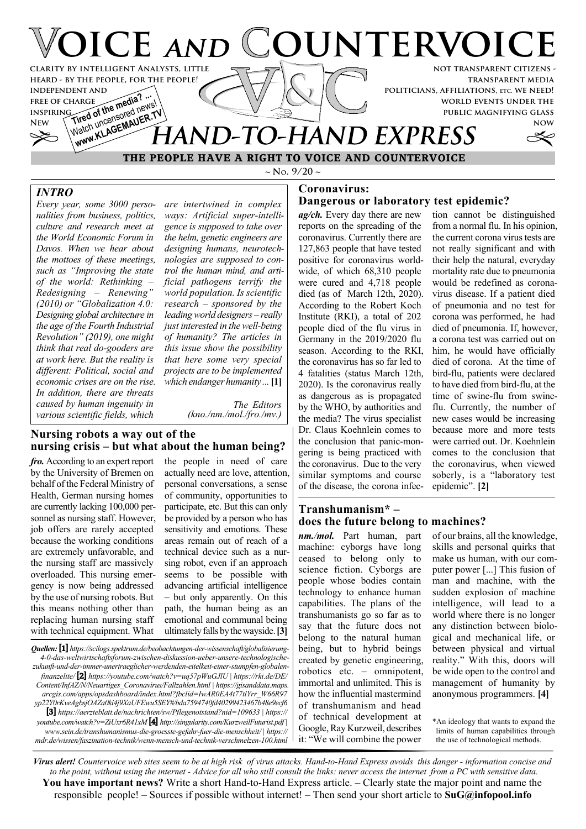

 $\sim$  **N**<sub>o</sub>. 9/20  $\sim$ 

# *INTRO*

*Every year, some 3000 personalities from business, politics, culture and research meet at the World Economic Forum in Davos. When we hear about the mottoes of these meetings, such as "Improving the state of the world: Rethinking – Redesigning – Renewing" (2010) or "Globalization 4.0: Designing global architecture in the age of the Fourth Industrial Revolution" (2019), one might think that real do-gooders are at work here. But the reality is different: Political, social and economic crises are on the rise. In addition, there are threats caused by human ingenuity in various scientific fields, which*

*are intertwined in complex ways: Artificial super-intelligence is supposed to take over the helm, genetic engineers are designing humans, neurotechnologies are supposed to control the human mind, and artificial pathogens terrify the world population. Is scientific research – sponsored by the leading world designers – really just interested in the well-being of humanity? The articles in this issue show the possibility that here some very special projects are to be implemented which endanger humanity ...***[1]**

> *The Editors (kno./nm./mol./fro./mv.)*

## **Nursing robots a way out of the nursing crisis – but what about the human being?**

*fro.* According to an expert report by the University of Bremen on behalf of the Federal Ministry of Health, German nursing homes are currently lacking 100,000 personnel as nursing staff. However, job offers are rarely accepted because the working conditions are extremely unfavorable, and the nursing staff are massively overloaded. This nursing emergency is now being addressed by the use of nursing robots. But this means nothing other than replacing human nursing staff with technical equipment. What

the people in need of care actually need are love, attention, personal conversations, a sense of community, opportunities to participate, etc. But this can only be provided by a person who has sensitivity and emotions. These areas remain out of reach of a technical device such as a nursing robot, even if an approach seems to be possible with advancing artificial intelligence – but only apparently. On this path, the human being as an emotional and communal being ultimately falls by the wayside.**[3]**

*Quellen:* **[1]** *https://scilogs.spektrum.de/beobachtungen-der-wissenschaft/globalisierung-4-0-das-weltwirtschaftsforum-zwischen-diskussion-ueber-unsere-technologischezukunft-und-der-immer-unertraeglicher-werdenden-eitelkeit-einer-stumpfen-globalenfinanzelite/* **[2]** *https://youtube.com/watch?v=uq57pWuGJlU | https://rki.de/DE/ Content/InfAZ/N/Neuartiges\_Coronavirus/Fallzahlen.html | https://gisanddata.maps. arcgis.com/apps/opsdashboard/index.html?fbclid=IwAR0EA4t77tlYrr\_W66R97 yp22Y0rKveAgbsjOAZa0ki4j9XaUFEwu5SEY#/bda7594740fd40299423467b48e9ecf6* **[3]** *https://aerzteblatt.de/nachrichten/sw/Pflegenotstand?nid=109633 | https:// youtube.com/watch?v=ZiUxr6R41xM* **[4]** *http://singularity.com/KurzweilFuturist.pdf | www.sein.de/transhumanismus-die-groesste-gefahr-fuer-die-menschheit/ | https:// mdr.de/wissen/faszination-technik/wenn-mensch-und-technik-verschmelzen-100.html*

#### **Coronavirus: Dangerous or laboratory test epidemic?**

*ag/ch.* Every day there are new reports on the spreading of the coronavirus. Currently there are 127,863 people that have tested positive for coronavirus worldwide, of which 68,310 people were cured and 4,718 people died (as of March 12th, 2020). According to the Robert Koch Institute (RKI), a total of 202 people died of the flu virus in Germany in the 2019/2020 flu season. According to the RKI, the coronavirus has so far led to 4 fatalities (status March 12th, 2020). Is the coronavirus really as dangerous as is propagated by the WHO, by authorities and the media? The virus specialist Dr. Claus Koehnlein comes to the conclusion that panic-mongering is being practiced with the coronavirus. Due to the very similar symptoms and course of the disease, the corona infec-

#### tion cannot be distinguished from a normal flu. In his opinion, the current corona virus tests are not really significant and with their help the natural, everyday mortality rate due to pneumonia would be redefined as coronavirus disease. If a patient died of pneumonia and no test for corona was performed, he had died of pneumonia. If, however, a corona test was carried out on him, he would have officially died of corona. At the time of bird-flu, patients were declared to have died from bird-flu, at the time of swine-flu from swineflu. Currently, the number of new cases would be increasing because more and more tests were carried out. Dr. Koehnlein comes to the conclusion that the coronavirus, when viewed soberly, is a "laboratory test epidemic". **[2]**

## **Transhumanism\* – does the future belong to machines?**

*nm./mol.* Part human, part machine: cyborgs have long ceased to belong only to science fiction. Cyborgs are people whose bodies contain technology to enhance human capabilities. The plans of the transhumanists go so far as to say that the future does not belong to the natural human being, but to hybrid beings created by genetic engineering, robotics etc. – omnipotent, immortal and unlimited. This is how the influential mastermind of transhumanism and head of technical development at Google, Ray Kurzweil, describes it: "We will combine the power

of our brains, all the knowledge, skills and personal quirks that make us human, with our computer power [...] This fusion of man and machine, with the sudden explosion of machine intelligence, will lead to a world where there is no longer any distinction between biological and mechanical life, or between physical and virtual reality." With this, doors will be wide open to the control and management of humanity by anonymous programmers. **[4]**

\*An ideology that wants to expand the limits of human capabilities through the use of technological methods.

*Virus alert! Countervoice web sites seem to be at high risk of virus attacks. Hand-to-Hand Express avoids this danger - information concise and to the point, without using the internet - Advice for all who still consult the links: never access the internet from a PC with sensitive data.* **You have important news?** Write a short Hand-to-Hand Express article. – Clearly state the major point and name the responsible people! – Sources if possible without internet! – Then send your short article to **SuG@infopool.info**